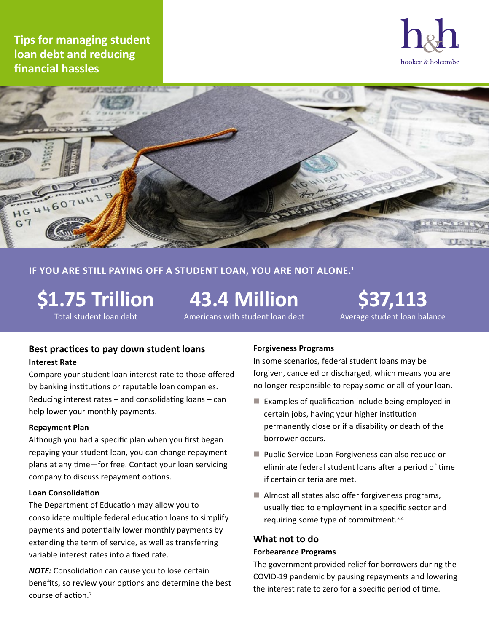**Tips for managing student loan debt and reducing financial hassles**





## **If you are still paying off a student loan, you are not alone.**<sup>1</sup>

**\$1.75 Trillion** Total student loan debt

**43.4 Million**

Americans with student loan debt

**\$37,113** Average student loan balance

## **Best practices to pay down student loans Interest Rate**

Compare your student loan interest rate to those offered by banking institutions or reputable loan companies. Reducing interest rates – and consolidating loans – can help lower your monthly payments.

#### **Repayment Plan**

Although you had a specific plan when you first began repaying your student loan, you can change repayment plans at any time—for free. Contact your loan servicing company to discuss repayment options.

#### **Loan Consolidation**

The Department of Education may allow you to consolidate multiple federal education loans to simplify payments and potentially lower monthly payments by extending the term of service, as well as transferring variable interest rates into a fixed rate.

*NOTE:* Consolidation can cause you to lose certain benefits, so review your options and determine the best course of action.<sup>2</sup>

#### **Forgiveness Programs**

In some scenarios, federal student loans may be forgiven, canceled or discharged, which means you are no longer responsible to repay some or all of your loan.

- $\blacksquare$  Examples of qualification include being employed in certain jobs, having your higher institution permanently close or if a disability or death of the borrower occurs.
- **Public Service Loan Forgiveness can also reduce or** eliminate federal student loans after a period of time if certain criteria are met.
- Almost all states also offer forgiveness programs, usually tied to employment in a specific sector and requiring some type of commitment.3,4

# **What not to do**

## **Forbearance Programs**

The government provided relief for borrowers during the COVID-19 pandemic by pausing repayments and lowering the interest rate to zero for a specific period of time.